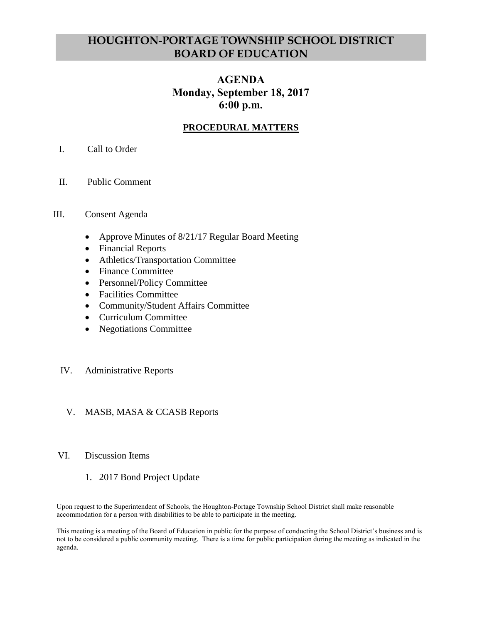# **HOUGHTON-PORTAGE TOWNSHIP SCHOOL DISTRICT BOARD OF EDUCATION**

# **AGENDA Monday, September 18, 2017 6:00 p.m.**

# **PROCEDURAL MATTERS**

## I. Call to Order

II. Public Comment

#### III. Consent Agenda

- Approve Minutes of 8/21/17 Regular Board Meeting
- Financial Reports
- Athletics/Transportation Committee
- Finance Committee
- Personnel/Policy Committee
- Facilities Committee
- Community/Student Affairs Committee
- Curriculum Committee
- Negotiations Committee

#### IV. Administrative Reports

#### V. MASB, MASA & CCASB Reports

#### VI. Discussion Items

1. 2017 Bond Project Update

Upon request to the Superintendent of Schools, the Houghton-Portage Township School District shall make reasonable accommodation for a person with disabilities to be able to participate in the meeting.

This meeting is a meeting of the Board of Education in public for the purpose of conducting the School District's business and is not to be considered a public community meeting. There is a time for public participation during the meeting as indicated in the agenda.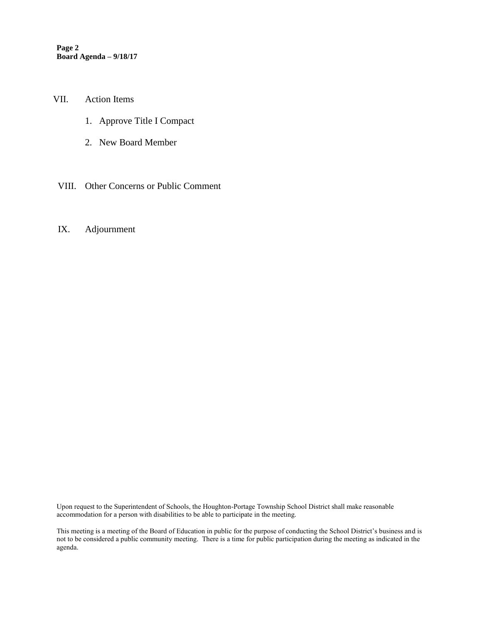**Page 2 Board Agenda – 9/18/17**

VII. Action Items

- 1. Approve Title I Compact
- 2. New Board Member
- VIII. Other Concerns or Public Comment

#### IX. Adjournment

Upon request to the Superintendent of Schools, the Houghton-Portage Township School District shall make reasonable accommodation for a person with disabilities to be able to participate in the meeting.

This meeting is a meeting of the Board of Education in public for the purpose of conducting the School District's business and is not to be considered a public community meeting. There is a time for public participation during the meeting as indicated in the agenda.